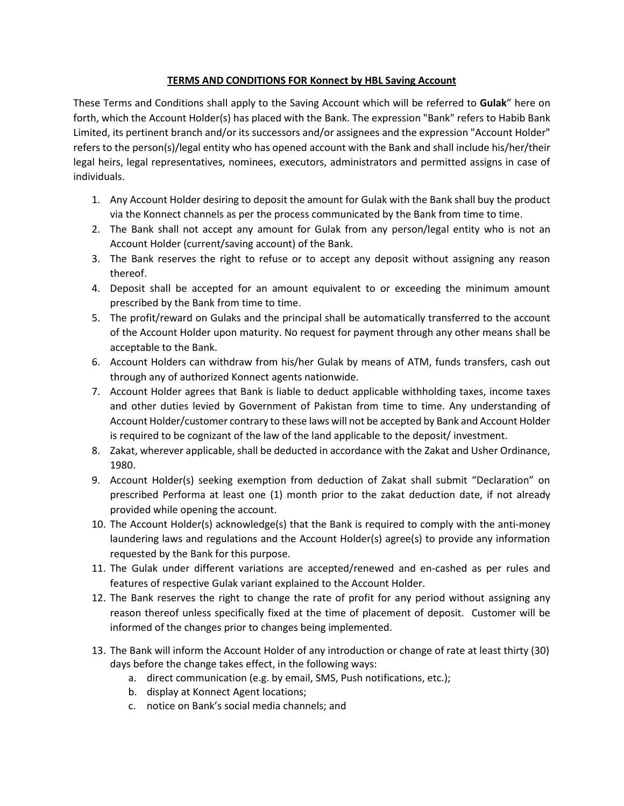## **TERMS AND CONDITIONS FOR Konnect by HBL Saving Account**

These Terms and Conditions shall apply to the Saving Account which will be referred to **Gulak**" here on forth, which the Account Holder(s) has placed with the Bank. The expression "Bank" refers to Habib Bank Limited, its pertinent branch and/or its successors and/or assignees and the expression "Account Holder" refers to the person(s)/legal entity who has opened account with the Bank and shall include his/her/their legal heirs, legal representatives, nominees, executors, administrators and permitted assigns in case of individuals.

- 1. Any Account Holder desiring to deposit the amount for Gulak with the Bank shall buy the product via the Konnect channels as per the process communicated by the Bank from time to time.
- 2. The Bank shall not accept any amount for Gulak from any person/legal entity who is not an Account Holder (current/saving account) of the Bank.
- 3. The Bank reserves the right to refuse or to accept any deposit without assigning any reason thereof.
- 4. Deposit shall be accepted for an amount equivalent to or exceeding the minimum amount prescribed by the Bank from time to time.
- 5. The profit/reward on Gulaks and the principal shall be automatically transferred to the account of the Account Holder upon maturity. No request for payment through any other means shall be acceptable to the Bank.
- 6. Account Holders can withdraw from his/her Gulak by means of ATM, funds transfers, cash out through any of authorized Konnect agents nationwide.
- 7. Account Holder agrees that Bank is liable to deduct applicable withholding taxes, income taxes and other duties levied by Government of Pakistan from time to time. Any understanding of Account Holder/customer contrary to these laws will not be accepted by Bank and Account Holder is required to be cognizant of the law of the land applicable to the deposit/ investment.
- 8. Zakat, wherever applicable, shall be deducted in accordance with the Zakat and Usher Ordinance, 1980.
- 9. Account Holder(s) seeking exemption from deduction of Zakat shall submit "Declaration" on prescribed Performa at least one (1) month prior to the zakat deduction date, if not already provided while opening the account.
- 10. The Account Holder(s) acknowledge(s) that the Bank is required to comply with the anti-money laundering laws and regulations and the Account Holder(s) agree(s) to provide any information requested by the Bank for this purpose.
- 11. The Gulak under different variations are accepted/renewed and en-cashed as per rules and features of respective Gulak variant explained to the Account Holder.
- 12. The Bank reserves the right to change the rate of profit for any period without assigning any reason thereof unless specifically fixed at the time of placement of deposit. Customer will be informed of the changes prior to changes being implemented.
- 13. The Bank will inform the Account Holder of any introduction or change of rate at least thirty (30) days before the change takes effect, in the following ways:
	- a. direct communication (e.g. by email, SMS, Push notifications, etc.);
	- b. display at Konnect Agent locations;
	- c. notice on Bank's social media channels; and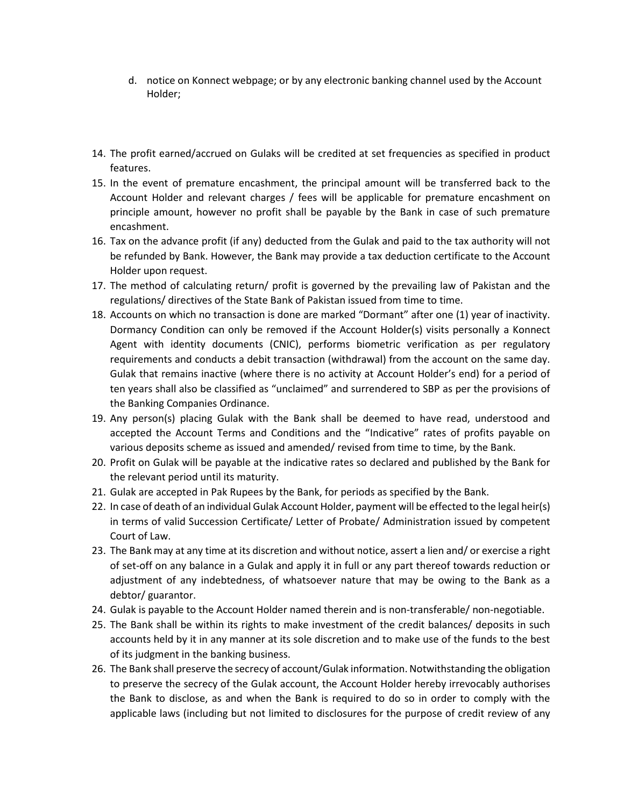- d. notice on Konnect webpage; or by any electronic banking channel used by the Account Holder;
- 14. The profit earned/accrued on Gulaks will be credited at set frequencies as specified in product features.
- 15. In the event of premature encashment, the principal amount will be transferred back to the Account Holder and relevant charges / fees will be applicable for premature encashment on principle amount, however no profit shall be payable by the Bank in case of such premature encashment.
- 16. Tax on the advance profit (if any) deducted from the Gulak and paid to the tax authority will not be refunded by Bank. However, the Bank may provide a tax deduction certificate to the Account Holder upon request.
- 17. The method of calculating return/ profit is governed by the prevailing law of Pakistan and the regulations/ directives of the State Bank of Pakistan issued from time to time.
- 18. Accounts on which no transaction is done are marked "Dormant" after one (1) year of inactivity. Dormancy Condition can only be removed if the Account Holder(s) visits personally a Konnect Agent with identity documents (CNIC), performs biometric verification as per regulatory requirements and conducts a debit transaction (withdrawal) from the account on the same day. Gulak that remains inactive (where there is no activity at Account Holder's end) for a period of ten years shall also be classified as "unclaimed" and surrendered to SBP as per the provisions of the Banking Companies Ordinance.
- 19. Any person(s) placing Gulak with the Bank shall be deemed to have read, understood and accepted the Account Terms and Conditions and the "Indicative" rates of profits payable on various deposits scheme as issued and amended/ revised from time to time, by the Bank.
- 20. Profit on Gulak will be payable at the indicative rates so declared and published by the Bank for the relevant period until its maturity.
- 21. Gulak are accepted in Pak Rupees by the Bank, for periods as specified by the Bank.
- 22. In case of death of an individual Gulak Account Holder, payment will be effected to the legal heir(s) in terms of valid Succession Certificate/ Letter of Probate/ Administration issued by competent Court of Law.
- 23. The Bank may at any time at its discretion and without notice, assert a lien and/ or exercise a right of set-off on any balance in a Gulak and apply it in full or any part thereof towards reduction or adjustment of any indebtedness, of whatsoever nature that may be owing to the Bank as a debtor/ guarantor.
- 24. Gulak is payable to the Account Holder named therein and is non-transferable/ non-negotiable.
- 25. The Bank shall be within its rights to make investment of the credit balances/ deposits in such accounts held by it in any manner at its sole discretion and to make use of the funds to the best of its judgment in the banking business.
- 26. The Bank shall preserve the secrecy of account/Gulak information. Notwithstanding the obligation to preserve the secrecy of the Gulak account, the Account Holder hereby irrevocably authorises the Bank to disclose, as and when the Bank is required to do so in order to comply with the applicable laws (including but not limited to disclosures for the purpose of credit review of any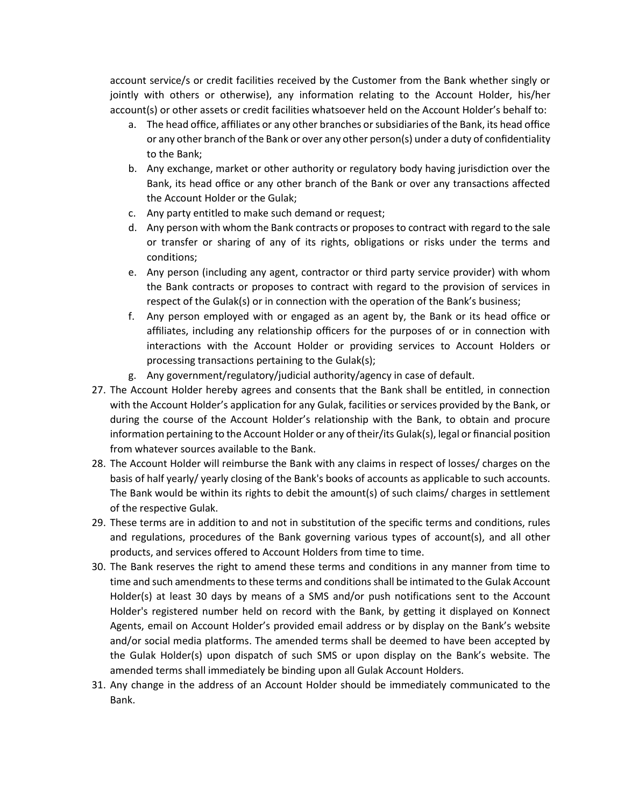account service/s or credit facilities received by the Customer from the Bank whether singly or jointly with others or otherwise), any information relating to the Account Holder, his/her account(s) or other assets or credit facilities whatsoever held on the Account Holder's behalf to:

- a. The head office, affiliates or any other branches or subsidiaries of the Bank, its head office or any other branch of the Bank or over any other person(s) under a duty of confidentiality to the Bank;
- b. Any exchange, market or other authority or regulatory body having jurisdiction over the Bank, its head office or any other branch of the Bank or over any transactions affected the Account Holder or the Gulak;
- c. Any party entitled to make such demand or request;
- d. Any person with whom the Bank contracts or proposesto contract with regard to the sale or transfer or sharing of any of its rights, obligations or risks under the terms and conditions;
- e. Any person (including any agent, contractor or third party service provider) with whom the Bank contracts or proposes to contract with regard to the provision of services in respect of the Gulak(s) or in connection with the operation of the Bank's business;
- f. Any person employed with or engaged as an agent by, the Bank or its head office or affiliates, including any relationship officers for the purposes of or in connection with interactions with the Account Holder or providing services to Account Holders or processing transactions pertaining to the Gulak(s);
- g. Any government/regulatory/judicial authority/agency in case of default.
- 27. The Account Holder hereby agrees and consents that the Bank shall be entitled, in connection with the Account Holder's application for any Gulak, facilities or services provided by the Bank, or during the course of the Account Holder's relationship with the Bank, to obtain and procure information pertaining to the Account Holder or any of their/its Gulak(s), legal or financial position from whatever sources available to the Bank.
- 28. The Account Holder will reimburse the Bank with any claims in respect of losses/ charges on the basis of half yearly/ yearly closing of the Bank's books of accounts as applicable to such accounts. The Bank would be within its rights to debit the amount(s) of such claims/ charges in settlement of the respective Gulak.
- 29. These terms are in addition to and not in substitution of the specific terms and conditions, rules and regulations, procedures of the Bank governing various types of account(s), and all other products, and services offered to Account Holders from time to time.
- 30. The Bank reserves the right to amend these terms and conditions in any manner from time to time and such amendments to these terms and conditions shall be intimated to the Gulak Account Holder(s) at least 30 days by means of a SMS and/or push notifications sent to the Account Holder's registered number held on record with the Bank, by getting it displayed on Konnect Agents, email on Account Holder's provided email address or by display on the Bank's website and/or social media platforms. The amended terms shall be deemed to have been accepted by the Gulak Holder(s) upon dispatch of such SMS or upon display on the Bank's website. The amended terms shall immediately be binding upon all Gulak Account Holders.
- 31. Any change in the address of an Account Holder should be immediately communicated to the Bank.